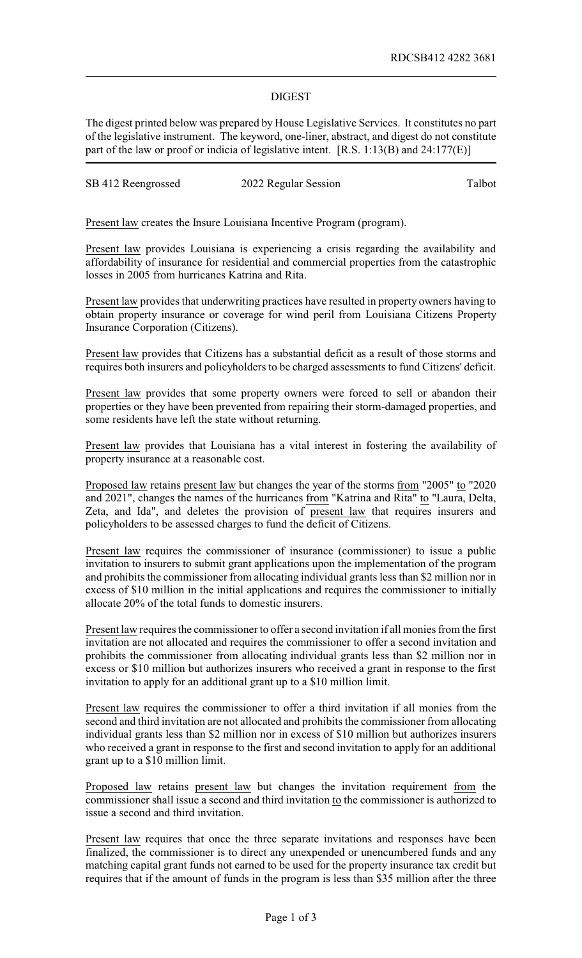## DIGEST

The digest printed below was prepared by House Legislative Services. It constitutes no part of the legislative instrument. The keyword, one-liner, abstract, and digest do not constitute part of the law or proof or indicia of legislative intent. [R.S. 1:13(B) and 24:177(E)]

| SB 412 Reengrossed | 2022 Regular Session | Talbot |
|--------------------|----------------------|--------|
|                    |                      |        |

Present law creates the Insure Louisiana Incentive Program (program).

Present law provides Louisiana is experiencing a crisis regarding the availability and affordability of insurance for residential and commercial properties from the catastrophic losses in 2005 from hurricanes Katrina and Rita.

Present law provides that underwriting practices have resulted in property owners having to obtain property insurance or coverage for wind peril from Louisiana Citizens Property Insurance Corporation (Citizens).

Present law provides that Citizens has a substantial deficit as a result of those storms and requires both insurers and policyholders to be charged assessments to fund Citizens' deficit.

Present law provides that some property owners were forced to sell or abandon their properties or they have been prevented from repairing their storm-damaged properties, and some residents have left the state without returning.

Present law provides that Louisiana has a vital interest in fostering the availability of property insurance at a reasonable cost.

Proposed law retains present law but changes the year of the storms from "2005" to "2020 and 2021", changes the names of the hurricanes from "Katrina and Rita" to "Laura, Delta, Zeta, and Ida", and deletes the provision of present law that requires insurers and policyholders to be assessed charges to fund the deficit of Citizens.

Present law requires the commissioner of insurance (commissioner) to issue a public invitation to insurers to submit grant applications upon the implementation of the program and prohibits the commissioner from allocating individual grants less than \$2 million nor in excess of \$10 million in the initial applications and requires the commissioner to initially allocate 20% of the total funds to domestic insurers.

Present law requires the commissioner to offer a second invitation if all monies from the first invitation are not allocated and requires the commissioner to offer a second invitation and prohibits the commissioner from allocating individual grants less than \$2 million nor in excess or \$10 million but authorizes insurers who received a grant in response to the first invitation to apply for an additional grant up to a \$10 million limit.

Present law requires the commissioner to offer a third invitation if all monies from the second and third invitation are not allocated and prohibits the commissioner from allocating individual grants less than \$2 million nor in excess of \$10 million but authorizes insurers who received a grant in response to the first and second invitation to apply for an additional grant up to a \$10 million limit.

Proposed law retains present law but changes the invitation requirement from the commissioner shall issue a second and third invitation to the commissioner is authorized to issue a second and third invitation.

Present law requires that once the three separate invitations and responses have been finalized, the commissioner is to direct any unexpended or unencumbered funds and any matching capital grant funds not earned to be used for the property insurance tax credit but requires that if the amount of funds in the program is less than \$35 million after the three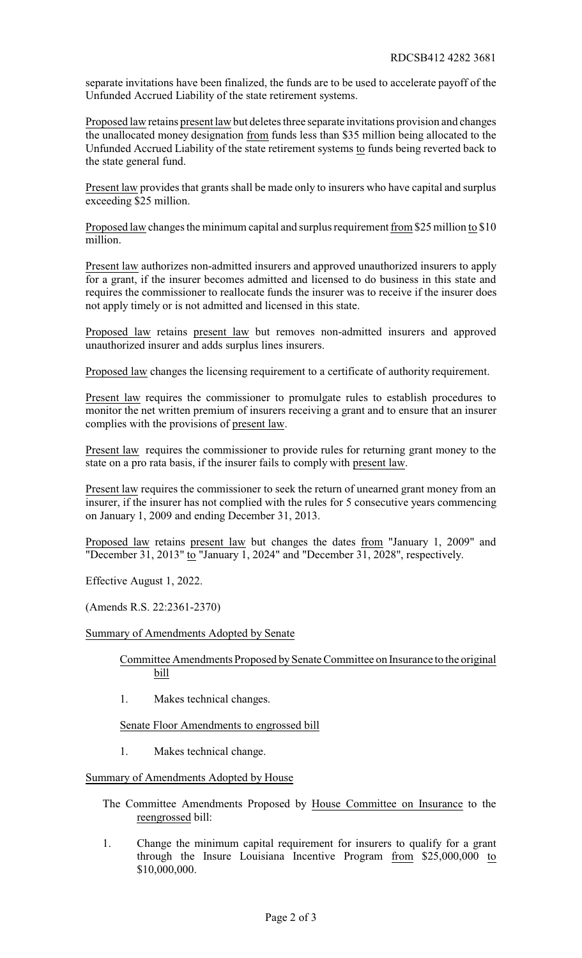separate invitations have been finalized, the funds are to be used to accelerate payoff of the Unfunded Accrued Liability of the state retirement systems.

Proposed law retains present law but deletes three separate invitations provision and changes the unallocated money designation from funds less than \$35 million being allocated to the Unfunded Accrued Liability of the state retirement systems to funds being reverted back to the state general fund.

Present law provides that grants shall be made only to insurers who have capital and surplus exceeding \$25 million.

Proposed law changes the minimum capital and surplus requirement from \$25 million to \$10 million.

Present law authorizes non-admitted insurers and approved unauthorized insurers to apply for a grant, if the insurer becomes admitted and licensed to do business in this state and requires the commissioner to reallocate funds the insurer was to receive if the insurer does not apply timely or is not admitted and licensed in this state.

Proposed law retains present law but removes non-admitted insurers and approved unauthorized insurer and adds surplus lines insurers.

Proposed law changes the licensing requirement to a certificate of authority requirement.

Present law requires the commissioner to promulgate rules to establish procedures to monitor the net written premium of insurers receiving a grant and to ensure that an insurer complies with the provisions of present law.

Present law requires the commissioner to provide rules for returning grant money to the state on a pro rata basis, if the insurer fails to comply with present law.

Present law requires the commissioner to seek the return of unearned grant money from an insurer, if the insurer has not complied with the rules for 5 consecutive years commencing on January 1, 2009 and ending December 31, 2013.

Proposed law retains present law but changes the dates from "January 1, 2009" and "December 31, 2013" to "January 1, 2024" and "December 31, 2028", respectively.

Effective August 1, 2022.

(Amends R.S. 22:2361-2370)

## Summary of Amendments Adopted by Senate

Committee Amendments Proposed by Senate Committee on Insurance to the original bill

1. Makes technical changes.

Senate Floor Amendments to engrossed bill

1. Makes technical change.

## Summary of Amendments Adopted by House

- The Committee Amendments Proposed by House Committee on Insurance to the reengrossed bill:
- 1. Change the minimum capital requirement for insurers to qualify for a grant through the Insure Louisiana Incentive Program from \$25,000,000 to \$10,000,000.